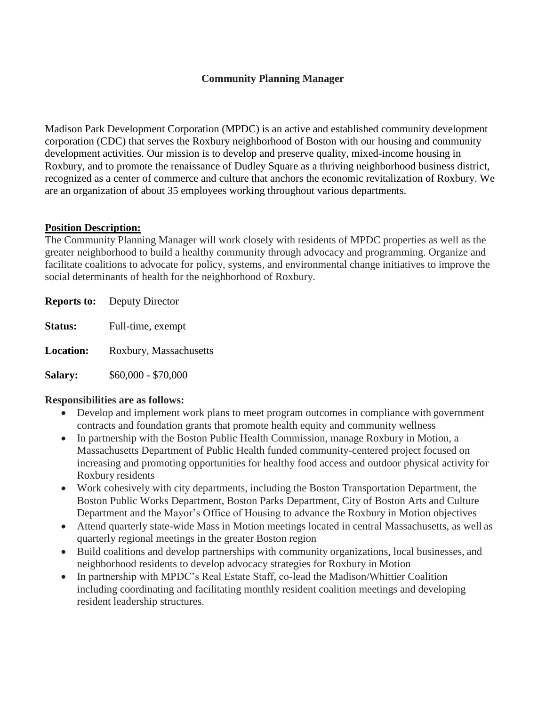### **Community Planning Manager**

Madison Park Development Corporation (MPDC) is an active and established community development corporation (CDC) that serves the Roxbury neighborhood of Boston with our housing and community development activities. Our mission is to develop and preserve quality, mixed-income housing in Roxbury, and to promote the renaissance of Dudley Square as a thriving neighborhood business district, recognized as a center of commerce and culture that anchors the economic revitalization of Roxbury. We are an organization of about 35 employees working throughout various departments.

#### **Position Description:**

The Community Planning Manager will work closely with residents of MPDC properties as well as the greater neighborhood to build a healthy community through advocacy and programming. Organize and facilitate coalitions to advocate for policy, systems, and environmental change initiatives to improve the social determinants of health for the neighborhood of Roxbury.

|                  | <b>Reports to:</b> Deputy Director |
|------------------|------------------------------------|
| <b>Status:</b>   | Full-time, exempt                  |
| <b>Location:</b> | Roxbury, Massachusetts             |
| <b>Salary:</b>   | $$60,000 - $70,000$                |

### **Responsibilities are as follows:**

- Develop and implement work plans to meet program outcomes in compliance with government contracts and foundation grants that promote health equity and community wellness
- In partnership with the Boston Public Health Commission, manage Roxbury in Motion, a Massachusetts Department of Public Health funded community-centered project focused on increasing and promoting opportunities for healthy food access and outdoor physical activity for Roxbury residents
- Work cohesively with city departments, including the Boston Transportation Department, the Boston Public Works Department, Boston Parks Department, City of Boston Arts and Culture Department and the Mayor's Office of Housing to advance the Roxbury in Motion objectives
- Attend quarterly state-wide Mass in Motion meetings located in central Massachusetts, as well as quarterly regional meetings in the greater Boston region
- Build coalitions and develop partnerships with community organizations, local businesses, and neighborhood residents to develop advocacy strategies for Roxbury in Motion
- In partnership with MPDC's Real Estate Staff, co-lead the Madison/Whittier Coalition including coordinating and facilitating monthly resident coalition meetings and developing resident leadership structures.